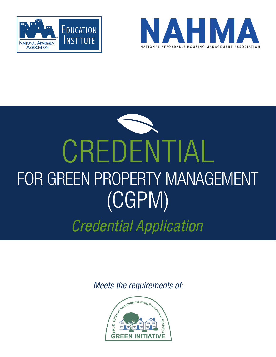



# CREDENTIAL FOR GREEN PROPERTY MANAGEMENT (CGPM) *Credential Application*

*Meets the requirements of:*

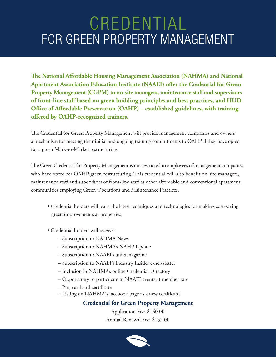**The National Affordable Housing Management Association (NAHMA) and National Apartment Association Education Institute (NAAEI) offer the Credential for Green Property Management (CGPM) to on-site managers, maintenance staff and supervisors of front-line staff based on green building principles and best practices, and HUD Office of Affordable Preservation (OAHP) – established guidelines, with training offered by OAHP-recognized trainers.**

The Credential for Green Property Management will provide management companies and owners a mechanism for meeting their initial and ongoing training commitments to OAHP if they have opted for a green Mark-to-Market restructuring.

The Green Credential for Property Management is not restricted to employees of management companies who have opted for OAHP green restructuring. This credential will also benefit on-site managers, maintenance staff and supervisors of front-line staff at other affordable and conventional apartment communities employing Green Operations and Maintenance Practices.

- Credential holders will learn the latest techniques and technologies for making cost-saving green improvements at properties.
- Credential holders will receive:
	- Subscription to NAHMA News
	- Subscription to NAHMA's NAHP Update
	- Subscription to NAAEI's units magazine
	- Subscription to NAAEI's Industry Insider e-newsletter
	- Inclusion in NAHMA's online Credential Directory
	- Opportunity to participate in NAAEI events at member rate
	- Pin, card and certificate
	- Listing on NAHMA's facebook page as a new certificant

#### **Credential for Green Property Management**

Application Fee: \$160.00 Annual Renewal Fee: \$135.00

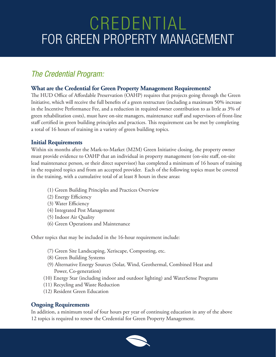#### *The Credential Program:*

#### **What are the Credential for Green Property Management Requirements?**

The HUD Office of Affordable Preservation (OAHP) requires that projects going through the Green Initiative, which will receive the full benefits of a green restructure (including a maximum 50% increase in the Incentive Performance Fee, and a reduction in required owner contribution to as little as 3% of green rehabilitation costs), must have on-site managers, maintenance staff and supervisors of front-line staff certified in green building principles and practices. This requirement can be met by completing a total of 16 hours of training in a variety of green building topics.

#### **Initial Requirements**

Within six months after the Mark-to-Market (M2M) Green Initiative closing, the property owner must provide evidence to OAHP that an individual in property management (on-site staff, on-site lead maintenance person, or their direct supervisor) has completed a minimum of 16 hours of training in the required topics and from an accepted provider. Each of the following topics must be covered in the training, with a cumulative total of at least 8 hours in these areas:

- (1) Green Building Principles and Practices Overview
- (2) Energy Efficiency
- (3) Water Efficiency
- (4) Integrated Pest Management
- (5) Indoor Air Quality
- (6) Green Operations and Maintenance

Other topics that may be included in the 16-hour requirement include:

- (7) Green Site Landscaping, Xeriscape, Composting, etc.
- (8) Green Building Systems
- (9) Alternative Energy Sources (Solar, Wind, Geothermal, Combined Heat and Power, Co-generation)
- (10) Energy Star (including indoor and outdoor lighting) and WaterSense Programs
- (11) Recycling and Waste Reduction
- (12) Resident Green Education

#### **Ongoing Requirements**

In addition, a minimum total of four hours per year of continuing education in any of the above 12 topics is required to renew the Credential for Green Property Management.

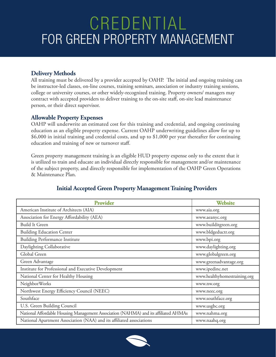#### **Delivery Methods**

All training must be delivered by a provider accepted by OAHP. The initial and ongoing training can be instructor-led classes, on-line courses, training seminars, association or industry training sessions, college or university courses, or other widely-recognized training. Property owners/ managers may contract with accepted providers to deliver training to the on-site staff, on-site lead maintenance person, or their direct supervisor.

#### **Allowable Property Expenses**

OAHP will underwrite an estimated cost for this training and credential, and ongoing continuing education as an eligible property expense. Current OAHP underwriting guidelines allow for up to \$6,000 in initial training and credential costs, and up to \$1,000 per year thereafter for continuing education and training of new or turnover staff.

Green property management training is an eligible HUD property expense only to the extent that it is utilized to train and educate an individual directly responsible for management and/or maintenance of the subject property, and directly responsible for implementation of the OAHP Green Operations & Maintenance Plan.

| <b>Provider</b>                                                                     | <b>Website</b>               |
|-------------------------------------------------------------------------------------|------------------------------|
| American Institute of Architects (AIA)                                              | www.aia.org                  |
| Association for Energy Affordability (AEA)                                          | www.aeanyc.org               |
| <b>Build It Green</b>                                                               | www.builditgreen.org         |
| <b>Building Education Center</b>                                                    | www.bldgeductr.org           |
| <b>Building Performance Institute</b>                                               | www.bpi.org                  |
| Daylighting Collaborative                                                           | www.daylighting.org          |
| Global Green                                                                        | www.globalgreen.org          |
| Green Advantage                                                                     | www.greenadvantage.org       |
| Institute for Professional and Executive Development                                | www.ipedinc.net              |
| National Center for Healthy Housing                                                 | www.healthyhomestraining.org |
| NeighborWorks                                                                       | www.nw.org                   |
| Northwest Energy Efficiency Council (NEEC)                                          | www.neec.org                 |
| Southface                                                                           | www.southface.org            |
| U.S. Green Building Council                                                         | www.usgbc.org                |
| National Affordable Housing Management Association (NAHMA) and its affiliated AHMAs | www.nahma.org                |
| National Apartment Association (NAA) and its affiliated associations                | www.naahq.org                |

#### **Initial Accepted Green Property Management Training Providers**

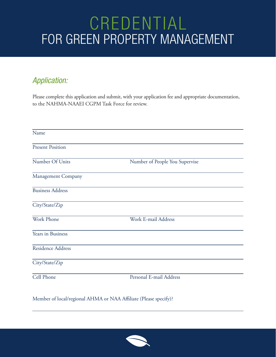#### *Application:*

Please complete this application and submit, with your application fee and appropriate documentation, to the NAHMA-NAAEI CGPM Task Force for review.

| Name                     |                                |  |  |  |
|--------------------------|--------------------------------|--|--|--|
| <b>Present Position</b>  |                                |  |  |  |
| Number Of Units          | Number of People You Supervise |  |  |  |
| Management Company       |                                |  |  |  |
| <b>Business Address</b>  |                                |  |  |  |
| City/State/Zip           |                                |  |  |  |
| <b>Work Phone</b>        | Work E-mail Address            |  |  |  |
| Years in Business        |                                |  |  |  |
| <b>Residence Address</b> |                                |  |  |  |
| City/State/Zip           |                                |  |  |  |
| <b>Cell Phone</b>        | Personal E-mail Address        |  |  |  |

Member of local/regional AHMA or NAA Affiliate (Please specify)?

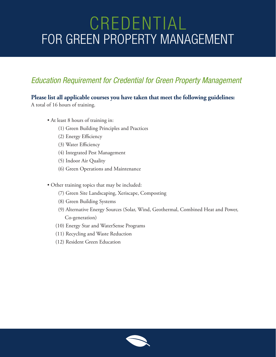### *Education Requirement for Credential for Green Property Management*

#### **Please list all applicable courses you have taken that meet the following guidelines:**

A total of 16 hours of training.

- At least 8 hours of training in:
	- (1) Green Building Principles and Practices
	- (2) Energy Efficiency
	- (3) Water Efficiency
	- (4) Integrated Pest Management
	- (5) Indoor Air Quality
	- (6) Green Operations and Maintenance
- Other training topics that may be included:
	- (7) Green Site Landscaping, Xeriscape, Composting
	- (8) Green Building Systems
	- (9) Alternative Energy Sources (Solar, Wind, Geothermal, Combined Heat and Power, Co-generation)
	- (10) Energy Star and WaterSense Programs
	- (11) Recycling and Waste Reduction
	- (12) Resident Green Education

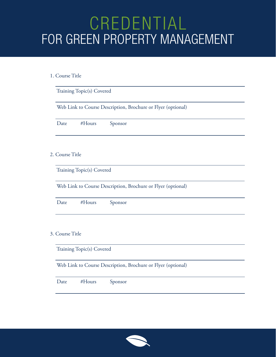#### 1. Course Title

| Training Topic(s) Covered                                    |                                                              |  |  |  |
|--------------------------------------------------------------|--------------------------------------------------------------|--|--|--|
| Web Link to Course Description, Brochure or Flyer (optional) |                                                              |  |  |  |
|                                                              | Date<br>#Hours<br>Sponsor                                    |  |  |  |
|                                                              | 2. Course Title                                              |  |  |  |
|                                                              | Training Topic(s) Covered                                    |  |  |  |
|                                                              | Web Link to Course Description, Brochure or Flyer (optional) |  |  |  |
|                                                              | Date<br>Sponsor<br>#Hours                                    |  |  |  |
|                                                              | 3. Course Title                                              |  |  |  |
|                                                              | Training Topic(s) Covered                                    |  |  |  |
|                                                              | Web Link to Course Description, Brochure or Flyer (optional) |  |  |  |



Date #Hours Sponsor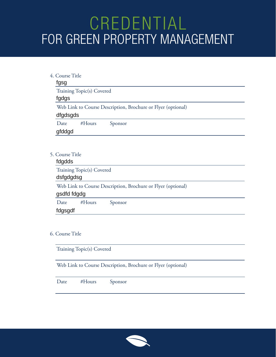| 4. Course Title                                                          |  |  |  |  |
|--------------------------------------------------------------------------|--|--|--|--|
| fgsg                                                                     |  |  |  |  |
| Training Topic(s) Covered                                                |  |  |  |  |
| fgdgs                                                                    |  |  |  |  |
| Web Link to Course Description, Brochure or Flyer (optional)<br>dfgdsgds |  |  |  |  |
| #Hours<br>Date<br>Sponsor                                                |  |  |  |  |
| gfddgd                                                                   |  |  |  |  |
|                                                                          |  |  |  |  |
| 5. Course Title                                                          |  |  |  |  |
| fdgdds                                                                   |  |  |  |  |
| Training Topic(s) Covered                                                |  |  |  |  |
| dsfgdgdsg                                                                |  |  |  |  |
| Web Link to Course Description, Brochure or Flyer (optional)             |  |  |  |  |
| gsdfd fdgdg                                                              |  |  |  |  |
| #Hours<br>Date<br>Sponsor                                                |  |  |  |  |

#### 6. Course Title

fdgsgdf

Training Topic(s) Covered

Web Link to Course Description, Brochure or Flyer (optional)

| Sponsor |  |
|---------|--|
|         |  |

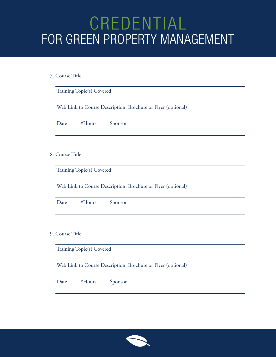#### 7. Course Title

| Training Topic(s) Covered                                    |                           |        |         |                                                              |
|--------------------------------------------------------------|---------------------------|--------|---------|--------------------------------------------------------------|
| Web Link to Course Description, Brochure or Flyer (optional) |                           |        |         |                                                              |
|                                                              | Date                      | #Hours | Sponsor |                                                              |
|                                                              | 8. Course Title           |        |         |                                                              |
|                                                              | Training Topic(s) Covered |        |         |                                                              |
| Web Link to Course Description, Brochure or Flyer (optional) |                           |        |         |                                                              |
|                                                              | Date                      | #Hours | Sponsor |                                                              |
|                                                              | 9. Course Title           |        |         |                                                              |
|                                                              | Training Topic(s) Covered |        |         |                                                              |
|                                                              |                           |        |         | Web Link to Course Description, Brochure or Flyer (optional) |
|                                                              |                           |        |         |                                                              |



Date #Hours Sponsor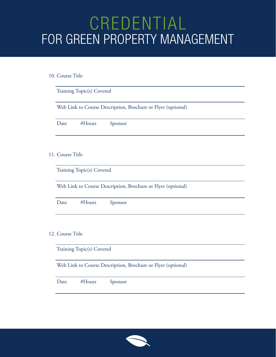#### 10. Course Title

|                           | Training Topic(s) Covered                                    |  |  |  |  |
|---------------------------|--------------------------------------------------------------|--|--|--|--|
|                           | Web Link to Course Description, Brochure or Flyer (optional) |  |  |  |  |
|                           | #Hours<br>Sponsor<br>Date                                    |  |  |  |  |
|                           | 11. Course Title                                             |  |  |  |  |
| Training Topic(s) Covered |                                                              |  |  |  |  |
|                           | Web Link to Course Description, Brochure or Flyer (optional) |  |  |  |  |
|                           | #Hours<br>Date<br>Sponsor                                    |  |  |  |  |
|                           | 12. Course Title                                             |  |  |  |  |
|                           | Training Topic(s) Covered                                    |  |  |  |  |
|                           | Web Link to Course Description, Brochure or Flyer (optional) |  |  |  |  |

|--|--|

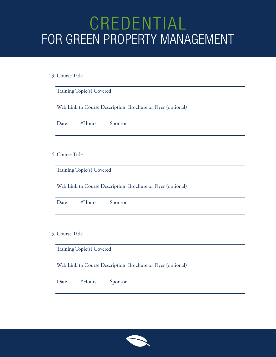#### 13. Course Title

| Training Topic(s) Covered                                    |  |  |  |
|--------------------------------------------------------------|--|--|--|
| Web Link to Course Description, Brochure or Flyer (optional) |  |  |  |
| Date<br>#Hours<br>Sponsor                                    |  |  |  |
| 14. Course Title                                             |  |  |  |
|                                                              |  |  |  |
| Training Topic(s) Covered                                    |  |  |  |
| Web Link to Course Description, Brochure or Flyer (optional) |  |  |  |
| Sponsor<br>Date<br>#Hours                                    |  |  |  |
|                                                              |  |  |  |
| 15. Course Title                                             |  |  |  |
| Training Topic(s) Covered                                    |  |  |  |
| Web Link to Course Description, Brochure or Flyer (optional) |  |  |  |

| Sponsor |  |  |
|---------|--|--|
|---------|--|--|

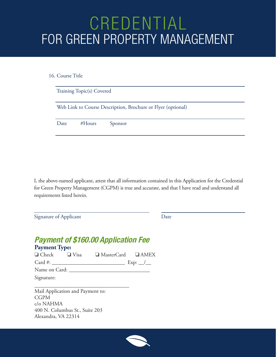16. Course Title

| Training Topic(s) Covered |                                                              |         |  |  |
|---------------------------|--------------------------------------------------------------|---------|--|--|
|                           | Web Link to Course Description, Brochure or Flyer (optional) |         |  |  |
| Date                      | $#$ Hours                                                    | Sponsor |  |  |

I, the above-named applicant, attest that all information contained in this Application for the Credential for Green Property Management (CGPM) is true and accurate, and that I have read and understand all requirements listed herein.

Signature of Applicant Date

#### **Payment of \$160.00 Application Fee Payment Type:** ❏ Check ❏ Visa ❏ MasterCard AMEX Card #: \_\_\_\_\_\_\_\_\_\_\_\_\_\_\_\_\_\_\_\_\_\_\_\_\_\_\_ Exp: \_\_/\_\_ Name on Card: \_\_\_\_\_\_\_\_\_\_\_\_\_\_\_\_\_\_\_\_\_\_\_\_\_\_\_\_\_\_ Signature:

Mail Application and Payment to: CGPM c/o NAHMA 400 N. Columbus St., Suite 203 Alexandra, VA 22314

\_\_\_\_\_\_\_\_\_\_\_\_\_\_\_\_\_\_\_\_\_\_\_\_\_\_\_\_\_\_\_\_\_\_\_

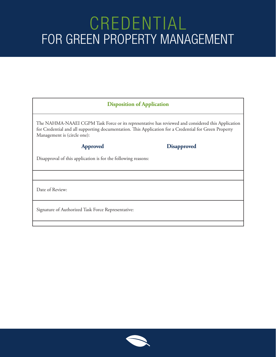#### **Disposition of Application**

The NAHMA-NAAEI CGPM Task Force or its representative has reviewed and considered this Application for Credential and all supporting documentation. This Application for a Credential for Green Property Management is (circle one):

#### **Approved Disapproved**

Disapproval of this application is for the following reasons:

Date of Review:

Signature of Authorized Task Force Representative: